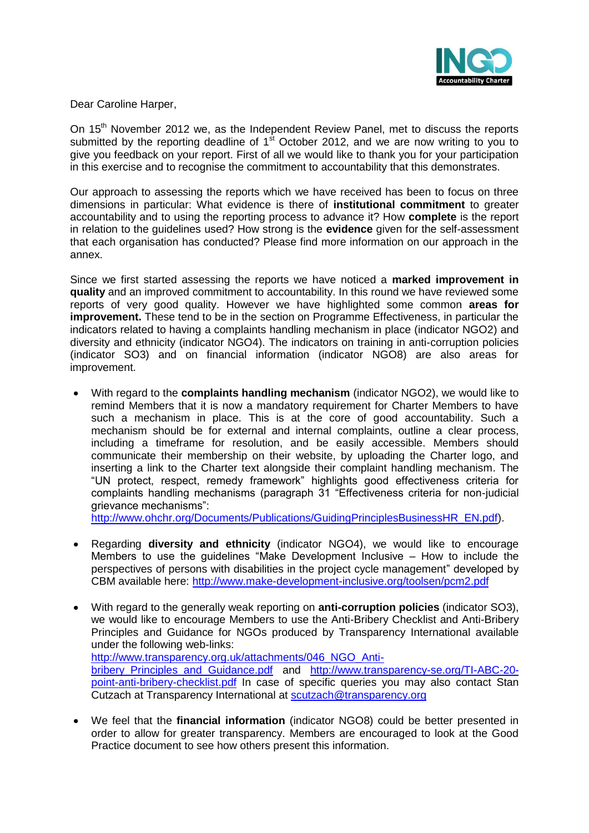

Dear Caroline Harper,

On 15<sup>th</sup> November 2012 we, as the Independent Review Panel, met to discuss the reports submitted by the reporting deadline of 1<sup>st</sup> October 2012, and we are now writing to you to give you feedback on your report. First of all we would like to thank you for your participation in this exercise and to recognise the commitment to accountability that this demonstrates.

Our approach to assessing the reports which we have received has been to focus on three dimensions in particular: What evidence is there of **institutional commitment** to greater accountability and to using the reporting process to advance it? How **complete** is the report in relation to the guidelines used? How strong is the **evidence** given for the self-assessment that each organisation has conducted? Please find more information on our approach in the annex.

Since we first started assessing the reports we have noticed a **marked improvement in quality** and an improved commitment to accountability. In this round we have reviewed some reports of very good quality. However we have highlighted some common **areas for improvement.** These tend to be in the section on Programme Effectiveness, in particular the indicators related to having a complaints handling mechanism in place (indicator NGO2) and diversity and ethnicity (indicator NGO4). The indicators on training in anti-corruption policies (indicator SO3) and on financial information (indicator NGO8) are also areas for improvement.

With regard to the **complaints handling mechanism** (indicator NGO2), we would like to  $\bullet$ remind Members that it is now a mandatory requirement for Charter Members to have such a mechanism in place. This is at the core of good accountability. Such a mechanism should be for external and internal complaints, outline a clear process, including a timeframe for resolution, and be easily accessible. Members should communicate their membership on their website, by uploading the Charter logo, and inserting a link to the Charter text alongside their complaint handling mechanism. The "UN protect, respect, remedy framework" highlights good effectiveness criteria for complaints handling mechanisms (paragraph 31 "Effectiveness criteria for non-judicial grievance mechanisms":

[http://www.ohchr.org/Documents/Publications/GuidingPrinciplesBusinessHR\\_EN.pdf\)](http://www.ohchr.org/Documents/Publications/GuidingPrinciplesBusinessHR_EN.pdf).

- Regarding **diversity and ethnicity** (indicator NGO4), we would like to encourage Members to use the guidelines "Make Development Inclusive – How to include the perspectives of persons with disabilities in the project cycle management" developed by CBM available here: <http://www.make-development-inclusive.org/toolsen/pcm2.pdf>
- With regard to the generally weak reporting on **anti-corruption policies** (indicator SO3),  $\bullet$ we would like to encourage Members to use the Anti-Bribery Checklist and Anti-Bribery Principles and Guidance for NGOs produced by Transparency International available under the following web-links: [http://www.transparency.org.uk/attachments/046\\_NGO\\_Anti](http://www.transparency.org.uk/attachments/046_NGO_Anti-bribery_Principles_and_Guidance.pdf)[bribery\\_Principles\\_and\\_Guidance.pdf](http://www.transparency.org.uk/attachments/046_NGO_Anti-bribery_Principles_and_Guidance.pdf) and [http://www.transparency-se.org/TI-ABC-20](http://www.transparency-se.org/TI-ABC-20-point-anti-bribery-checklist.pdf) [point-anti-bribery-checklist.pdf](http://www.transparency-se.org/TI-ABC-20-point-anti-bribery-checklist.pdf) In case of specific queries you may also contact Stan Cutzach at Transparency International at [scutzach@transparency.org](mailto:scutzach@transparency.org)
- We feel that the **financial information** (indicator NGO8) could be better presented in  $\bullet$ order to allow for greater transparency. Members are encouraged to look at the Good Practice document to see how others present this information.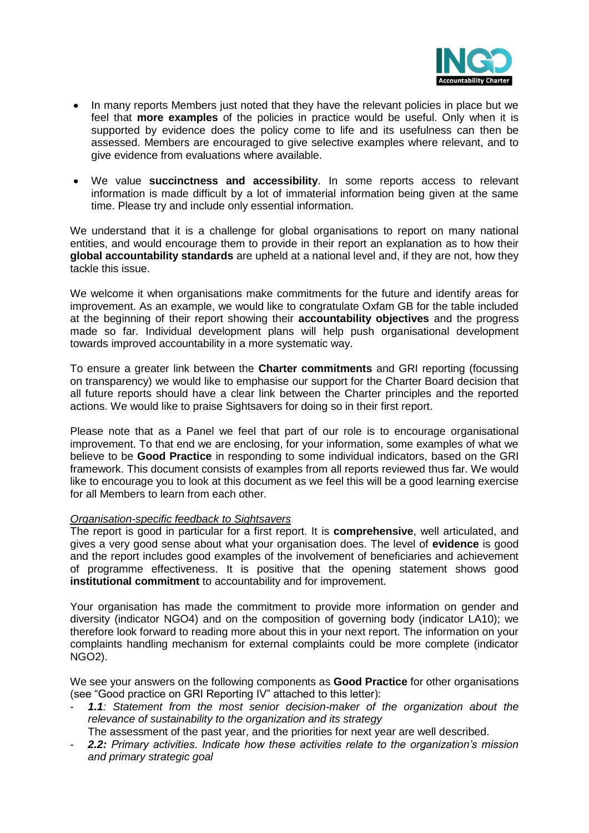

- In many reports Members just noted that they have the relevant policies in place but we  $\bullet$ feel that **more examples** of the policies in practice would be useful. Only when it is supported by evidence does the policy come to life and its usefulness can then be assessed. Members are encouraged to give selective examples where relevant, and to give evidence from evaluations where available.
- We value **succinctness and accessibility**. In some reports access to relevant  $\bullet$ information is made difficult by a lot of immaterial information being given at the same time. Please try and include only essential information.

We understand that it is a challenge for global organisations to report on many national entities, and would encourage them to provide in their report an explanation as to how their **global accountability standards** are upheld at a national level and, if they are not, how they tackle this issue.

We welcome it when organisations make commitments for the future and identify areas for improvement. As an example, we would like to congratulate Oxfam GB for the table included at the beginning of their report showing their **accountability objectives** and the progress made so far. Individual development plans will help push organisational development towards improved accountability in a more systematic way.

To ensure a greater link between the **Charter commitments** and GRI reporting (focussing on transparency) we would like to emphasise our support for the Charter Board decision that all future reports should have a clear link between the Charter principles and the reported actions. We would like to praise Sightsavers for doing so in their first report.

Please note that as a Panel we feel that part of our role is to encourage organisational improvement. To that end we are enclosing, for your information, some examples of what we believe to be **Good Practice** in responding to some individual indicators, based on the GRI framework. This document consists of examples from all reports reviewed thus far. We would like to encourage you to look at this document as we feel this will be a good learning exercise for all Members to learn from each other.

#### *Organisation-specific feedback to Sightsavers*

The report is good in particular for a first report. It is **comprehensive**, well articulated, and gives a very good sense about what your organisation does. The level of **evidence** is good and the report includes good examples of the involvement of beneficiaries and achievement of programme effectiveness. It is positive that the opening statement shows good **institutional commitment** to accountability and for improvement.

Your organisation has made the commitment to provide more information on gender and diversity (indicator NGO4) and on the composition of governing body (indicator LA10); we therefore look forward to reading more about this in your next report. The information on your complaints handling mechanism for external complaints could be more complete (indicator NGO2).

We see your answers on the following components as **Good Practice** for other organisations (see "Good practice on GRI Reporting IV" attached to this letter):

- 1.1: Statement from the most senior decision-maker of the organization about the *relevance of sustainability to the organization and its strategy*
	- The assessment of the past year, and the priorities for next year are well described.
- *2.2: Primary activities. Indicate how these activities relate to the organization's mission and primary strategic goal*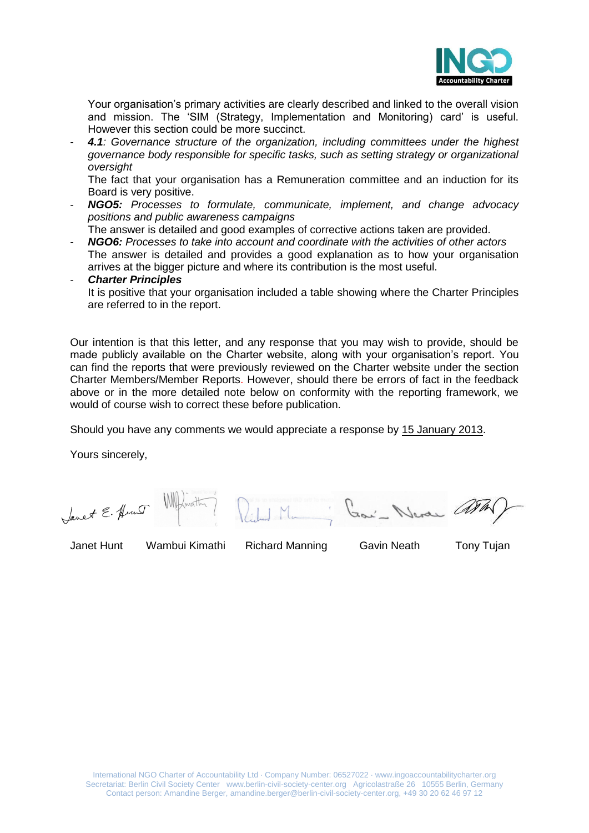

Your organisation's primary activities are clearly described and linked to the overall vision and mission. The 'SIM (Strategy, Implementation and Monitoring) card' is useful. However this section could be more succinct.

- *4.1: Governance structure of the organization, including committees under the highest governance body responsible for specific tasks, such as setting strategy or organizational oversight*

The fact that your organisation has a Remuneration committee and an induction for its Board is very positive.

- *NGO5: Processes to formulate, communicate, implement, and change advocacy positions and public awareness campaigns*

The answer is detailed and good examples of corrective actions taken are provided.

- *NGO6: Processes to take into account and coordinate with the activities of other actors* The answer is detailed and provides a good explanation as to how your organisation arrives at the bigger picture and where its contribution is the most useful.

#### - *Charter Principles*

It is positive that your organisation included a table showing where the Charter Principles are referred to in the report.

Our intention is that this letter, and any response that you may wish to provide, should be made publicly available on the Charter website, along with your organisation's report. You can find the reports that were previously reviewed on the Charter website under the section Charter Members/Member Reports. However, should there be errors of fact in the feedback above or in the more detailed note below on conformity with the reporting framework, we would of course wish to correct these before publication.

Should you have any comments we would appreciate a response by 15 January 2013.

Yours sincerely,

Sanet E. Hunt 200' Neran a L

Janet Hunt Wambui Kimathi Richard Manning Gavin Neath Tony Tujan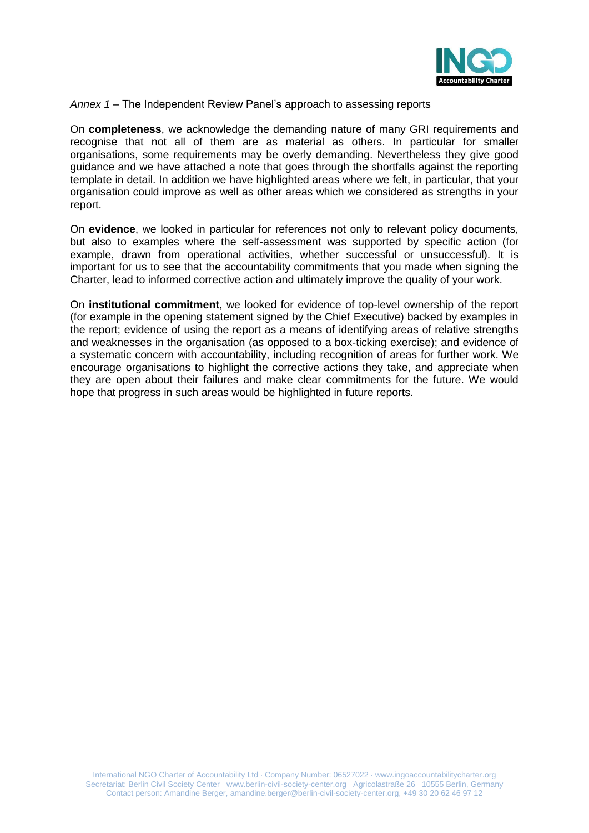

*Annex 1 –* The Independent Review Panel's approach to assessing reports

On **completeness**, we acknowledge the demanding nature of many GRI requirements and recognise that not all of them are as material as others. In particular for smaller organisations, some requirements may be overly demanding. Nevertheless they give good guidance and we have attached a note that goes through the shortfalls against the reporting template in detail. In addition we have highlighted areas where we felt, in particular, that your organisation could improve as well as other areas which we considered as strengths in your report.

On **evidence**, we looked in particular for references not only to relevant policy documents, but also to examples where the self-assessment was supported by specific action (for example, drawn from operational activities, whether successful or unsuccessful). It is important for us to see that the accountability commitments that you made when signing the Charter, lead to informed corrective action and ultimately improve the quality of your work.

On **institutional commitment**, we looked for evidence of top-level ownership of the report (for example in the opening statement signed by the Chief Executive) backed by examples in the report; evidence of using the report as a means of identifying areas of relative strengths and weaknesses in the organisation (as opposed to a box-ticking exercise); and evidence of a systematic concern with accountability, including recognition of areas for further work. We encourage organisations to highlight the corrective actions they take, and appreciate when they are open about their failures and make clear commitments for the future. We would hope that progress in such areas would be highlighted in future reports.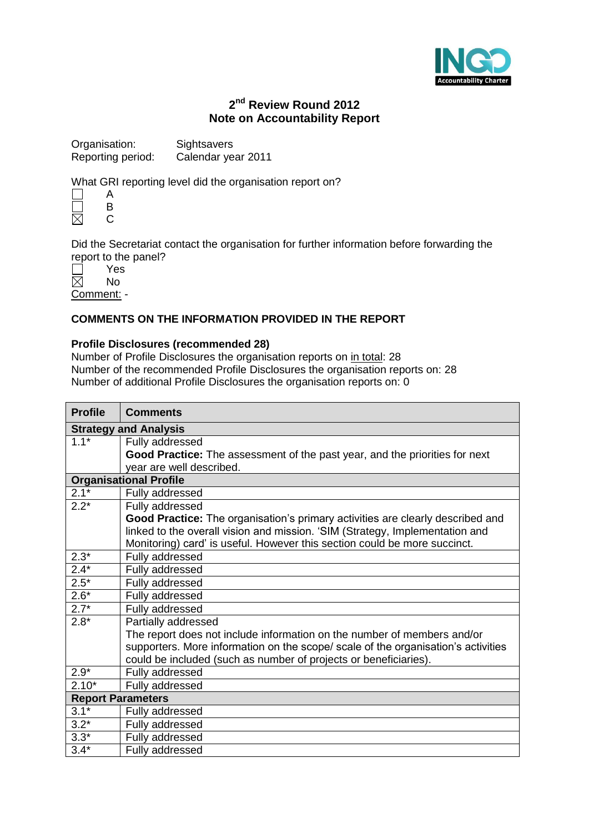

# **2 nd Review Round 2012 Note on Accountability Report**

| Organisation:     | Sightsavers        |
|-------------------|--------------------|
| Reporting period: | Calendar year 2011 |

What GRI reporting level did the organisation report on?

|   | R |
|---|---|
| I |   |

Did the Secretariat contact the organisation for further information before forwarding the report to the panel?

|  |  | Yes |  |
|--|--|-----|--|
|  |  | N٥  |  |

Comment: -

## **COMMENTS ON THE INFORMATION PROVIDED IN THE REPORT**

#### **Profile Disclosures (recommended 28)**

Number of Profile Disclosures the organisation reports on in total: 28 Number of the recommended Profile Disclosures the organisation reports on: 28 Number of additional Profile Disclosures the organisation reports on: 0

| <b>Profile</b>           | <b>Comments</b>                                                                   |  |
|--------------------------|-----------------------------------------------------------------------------------|--|
|                          | <b>Strategy and Analysis</b>                                                      |  |
| $1.1*$                   | Fully addressed                                                                   |  |
|                          | Good Practice: The assessment of the past year, and the priorities for next       |  |
|                          | year are well described.                                                          |  |
|                          | <b>Organisational Profile</b>                                                     |  |
| $2.1*$                   | Fully addressed                                                                   |  |
| $2.2*$                   | Fully addressed                                                                   |  |
|                          | Good Practice: The organisation's primary activities are clearly described and    |  |
|                          | linked to the overall vision and mission. 'SIM (Strategy, Implementation and      |  |
|                          | Monitoring) card' is useful. However this section could be more succinct.         |  |
| $2.\overline{3^{*}}$     | Fully addressed                                                                   |  |
| $2.4*$                   | Fully addressed                                                                   |  |
| $2.5*$                   | Fully addressed                                                                   |  |
| $2.6*$                   | Fully addressed                                                                   |  |
| $2.7*$                   | Fully addressed                                                                   |  |
| $2.8*$                   | Partially addressed                                                               |  |
|                          | The report does not include information on the number of members and/or           |  |
|                          | supporters. More information on the scope/ scale of the organisation's activities |  |
|                          | could be included (such as number of projects or beneficiaries).                  |  |
| $2.9*$                   | Fully addressed                                                                   |  |
| $2.10*$                  | Fully addressed                                                                   |  |
| <b>Report Parameters</b> |                                                                                   |  |
| $3.1*$                   | Fully addressed                                                                   |  |
| $3.2*$                   | Fully addressed                                                                   |  |
| $3.3*$                   | Fully addressed                                                                   |  |
| $3.4*$                   | Fully addressed                                                                   |  |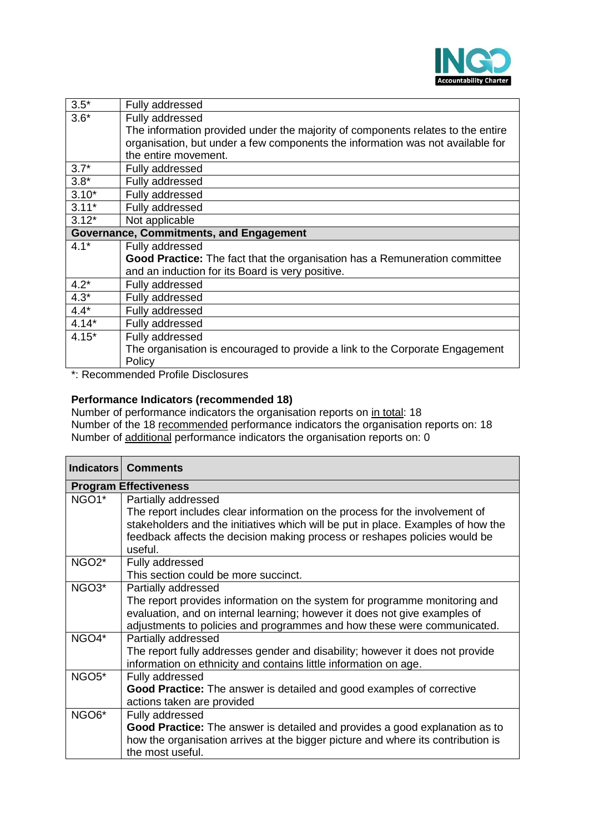

| $3.5*$                                         | Fully addressed                                                                 |
|------------------------------------------------|---------------------------------------------------------------------------------|
| $3.6*$                                         | Fully addressed                                                                 |
|                                                | The information provided under the majority of components relates to the entire |
|                                                | organisation, but under a few components the information was not available for  |
|                                                | the entire movement.                                                            |
| $3.7*$                                         | Fully addressed                                                                 |
| $3.8*$                                         | Fully addressed                                                                 |
| $3.10*$                                        | Fully addressed                                                                 |
| $3.11*$                                        | Fully addressed                                                                 |
| $3.12*$                                        | Not applicable                                                                  |
| <b>Governance, Commitments, and Engagement</b> |                                                                                 |
| $4.1*$                                         | Fully addressed                                                                 |
|                                                | Good Practice: The fact that the organisation has a Remuneration committee      |
|                                                | and an induction for its Board is very positive.                                |
| $4.2*$                                         | Fully addressed                                                                 |
| $4.3*$                                         | Fully addressed                                                                 |
| $4.4*$                                         | Fully addressed                                                                 |
| $4.14*$                                        | Fully addressed                                                                 |
| $4.15*$                                        | Fully addressed                                                                 |
|                                                | The organisation is encouraged to provide a link to the Corporate Engagement    |
|                                                | Policy                                                                          |

\*: Recommended Profile Disclosures

## **Performance Indicators (recommended 18)**

Number of performance indicators the organisation reports on in total: 18 Number of the 18 recommended performance indicators the organisation reports on: 18 Number of additional performance indicators the organisation reports on: 0

|                    | <b>Indicators   Comments</b>                                                                                                                                                                                                                               |
|--------------------|------------------------------------------------------------------------------------------------------------------------------------------------------------------------------------------------------------------------------------------------------------|
|                    | <b>Program Effectiveness</b>                                                                                                                                                                                                                               |
| NGO <sub>1</sub> * | Partially addressed<br>The report includes clear information on the process for the involvement of<br>stakeholders and the initiatives which will be put in place. Examples of how the                                                                     |
|                    | feedback affects the decision making process or reshapes policies would be<br>useful.                                                                                                                                                                      |
| NGO <sub>2</sub> * | Fully addressed<br>This section could be more succinct.                                                                                                                                                                                                    |
| NGO <sub>3</sub> * | Partially addressed<br>The report provides information on the system for programme monitoring and<br>evaluation, and on internal learning; however it does not give examples of<br>adjustments to policies and programmes and how these were communicated. |
| NGO4*              | Partially addressed<br>The report fully addresses gender and disability; however it does not provide<br>information on ethnicity and contains little information on age.                                                                                   |
| NGO <sub>5</sub> * | Fully addressed<br><b>Good Practice:</b> The answer is detailed and good examples of corrective<br>actions taken are provided                                                                                                                              |
| NGO <sub>6</sub> * | Fully addressed<br>Good Practice: The answer is detailed and provides a good explanation as to<br>how the organisation arrives at the bigger picture and where its contribution is<br>the most useful.                                                     |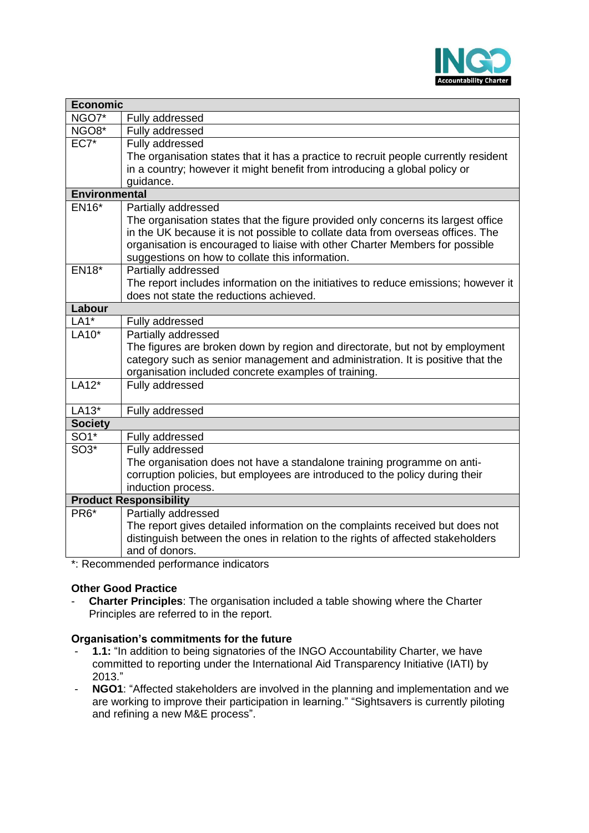

| <b>Economic</b>      |                                                                                     |
|----------------------|-------------------------------------------------------------------------------------|
| NGO7*                | Fully addressed                                                                     |
| NGO8*                | Fully addressed                                                                     |
| $EC7*$               | Fully addressed                                                                     |
|                      | The organisation states that it has a practice to recruit people currently resident |
|                      | in a country; however it might benefit from introducing a global policy or          |
|                      | guidance.                                                                           |
| <b>Environmental</b> |                                                                                     |
| EN16*                | Partially addressed                                                                 |
|                      | The organisation states that the figure provided only concerns its largest office   |
|                      | in the UK because it is not possible to collate data from overseas offices. The     |
|                      | organisation is encouraged to liaise with other Charter Members for possible        |
|                      | suggestions on how to collate this information.                                     |
| <b>EN18*</b>         | Partially addressed                                                                 |
|                      | The report includes information on the initiatives to reduce emissions; however it  |
|                      | does not state the reductions achieved.                                             |
| Labour               |                                                                                     |
| $LA1*$               | Fully addressed                                                                     |
| LA10*                | Partially addressed                                                                 |
|                      | The figures are broken down by region and directorate, but not by employment        |
|                      | category such as senior management and administration. It is positive that the      |
| $LA12*$              | organisation included concrete examples of training.                                |
|                      | Fully addressed                                                                     |
| $LA13*$              | Fully addressed                                                                     |
| <b>Society</b>       |                                                                                     |
| SO1*                 | Fully addressed                                                                     |
| $SO3*$               | Fully addressed                                                                     |
|                      | The organisation does not have a standalone training programme on anti-             |
|                      | corruption policies, but employees are introduced to the policy during their        |
|                      | induction process.                                                                  |
|                      | <b>Product Responsibility</b>                                                       |
| PR <sub>6</sub> *    | Partially addressed                                                                 |
|                      | The report gives detailed information on the complaints received but does not       |
|                      | distinguish between the ones in relation to the rights of affected stakeholders     |
|                      | and of donors.                                                                      |
|                      | *: Recommended performance indicators                                               |

# **Other Good Practice**

- **Charter Principles**: The organisation included a table showing where the Charter Principles are referred to in the report.

## **Organisation's commitments for the future**

- **1.1:** "In addition to being signatories of the INGO Accountability Charter, we have committed to reporting under the International Aid Transparency Initiative (IATI) by 2013."
- **NGO1**: "Affected stakeholders are involved in the planning and implementation and we are working to improve their participation in learning." "Sightsavers is currently piloting and refining a new M&E process".